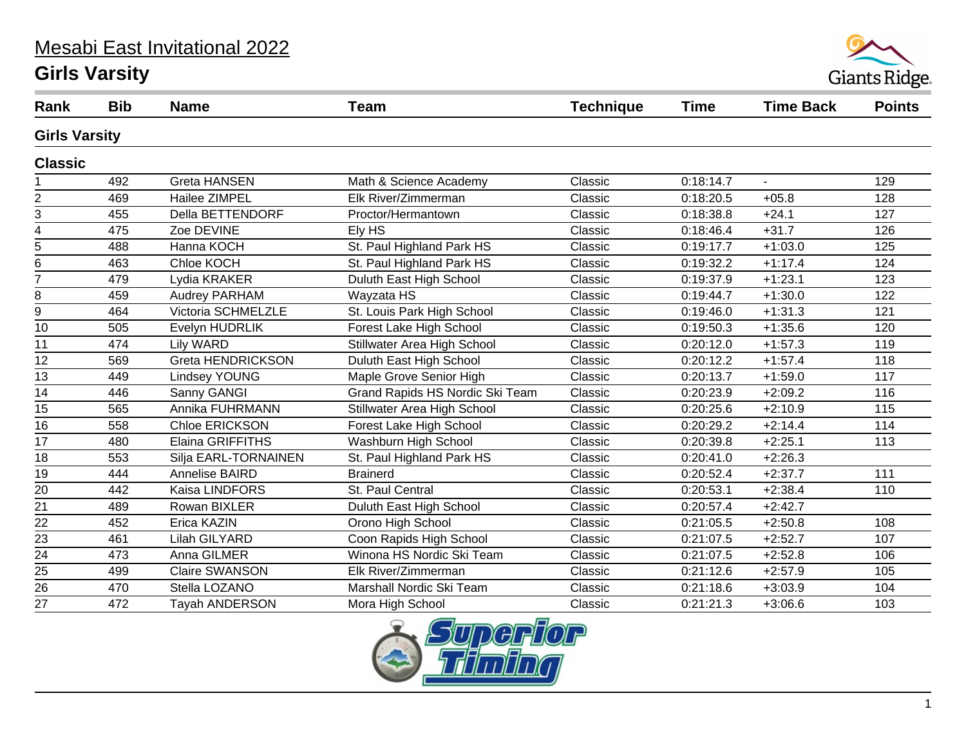#### Mesabi East Invitational 2022

#### **Girls Varsity**



| Rank                    | <b>Bib</b> | <b>Name</b>             | <b>Team</b>                     | <b>Technique</b> | <b>Time</b> | <b>Time Back</b> | <b>Points</b> |  |
|-------------------------|------------|-------------------------|---------------------------------|------------------|-------------|------------------|---------------|--|
| <b>Girls Varsity</b>    |            |                         |                                 |                  |             |                  |               |  |
| <b>Classic</b>          |            |                         |                                 |                  |             |                  |               |  |
|                         | 492        | <b>Greta HANSEN</b>     | Math & Science Academy          | Classic          | 0:18:14.7   | $\blacksquare$   | 129           |  |
| $\mathbf 2$             | 469        | Hailee ZIMPEL           | Elk River/Zimmerman             | Classic          | 0:18:20.5   | $+05.8$          | 128           |  |
| 3                       | 455        | Della BETTENDORF        | Proctor/Hermantown              | Classic          | 0:18:38.8   | $+24.1$          | 127           |  |
| $\overline{\mathbf{4}}$ | 475        | Zoe DEVINE              | Ely HS                          | Classic          | 0:18:46.4   | $+31.7$          | 126           |  |
| 5                       | 488        | Hanna KOCH              | St. Paul Highland Park HS       | Classic          | 0:19:17.7   | $+1:03.0$        | 125           |  |
| 6                       | 463        | Chloe KOCH              | St. Paul Highland Park HS       | Classic          | 0:19:32.2   | $+1:17.4$        | 124           |  |
| $\overline{7}$          | 479        | Lydia KRAKER            | Duluth East High School         | Classic          | 0:19:37.9   | $+1:23.1$        | 123           |  |
| 8                       | 459        | <b>Audrey PARHAM</b>    | Wayzata HS                      | Classic          | 0:19:44.7   | $+1:30.0$        | 122           |  |
| 9                       | 464        | Victoria SCHMELZLE      | St. Louis Park High School      | Classic          | 0:19:46.0   | $+1:31.3$        | 121           |  |
| 10                      | 505        | Evelyn HUDRLIK          | Forest Lake High School         | Classic          | 0:19:50.3   | $+1:35.6$        | 120           |  |
| 11                      | 474        | Lily WARD               | Stillwater Area High School     | Classic          | 0:20:12.0   | $+1:57.3$        | 119           |  |
| 12                      | 569        | Greta HENDRICKSON       | Duluth East High School         | Classic          | 0:20:12.2   | $+1:57.4$        | 118           |  |
| $\overline{13}$         | 449        | <b>Lindsey YOUNG</b>    | Maple Grove Senior High         | Classic          | 0:20:13.7   | $+1:59.0$        | 117           |  |
| 14                      | 446        | Sanny GANGI             | Grand Rapids HS Nordic Ski Team | Classic          | 0:20:23.9   | $+2:09.2$        | 116           |  |
| 15                      | 565        | Annika FUHRMANN         | Stillwater Area High School     | Classic          | 0:20:25.6   | $+2:10.9$        | 115           |  |
| $\overline{16}$         | 558        | Chloe ERICKSON          | Forest Lake High School         | Classic          | 0:20:29.2   | $+2:14.4$        | 114           |  |
| 17                      | 480        | <b>Elaina GRIFFITHS</b> | Washburn High School            | Classic          | 0:20:39.8   | $+2:25.1$        | 113           |  |
| 18                      | 553        | Silja EARL-TORNAINEN    | St. Paul Highland Park HS       | Classic          | 0:20:41.0   | $+2:26.3$        |               |  |
| $\overline{19}$         | 444        | Annelise BAIRD          | <b>Brainerd</b>                 | Classic          | 0:20:52.4   | $+2:37.7$        | 111           |  |
| 20                      | 442        | Kaisa LINDFORS          | St. Paul Central                | Classic          | 0:20:53.1   | $+2:38.4$        | 110           |  |
| 21                      | 489        | Rowan BIXLER            | Duluth East High School         | Classic          | 0:20:57.4   | $+2:42.7$        |               |  |
| $\overline{22}$         | 452        | Erica KAZIN             | Orono High School               | Classic          | 0:21:05.5   | $+2:50.8$        | 108           |  |
| 23                      | 461        | Lilah GILYARD           | Coon Rapids High School         | Classic          | 0:21:07.5   | $+2:52.7$        | 107           |  |
| $\overline{24}$         | 473        | Anna GILMER             | Winona HS Nordic Ski Team       | Classic          | 0:21:07.5   | $+2:52.8$        | 106           |  |
| $\overline{25}$         | 499        | <b>Claire SWANSON</b>   | Elk River/Zimmerman             | Classic          | 0:21:12.6   | $+2:57.9$        | 105           |  |
| 26                      | 470        | Stella LOZANO           | Marshall Nordic Ski Team        | Classic          | 0:21:18.6   | $+3:03.9$        | 104           |  |
| 27                      | 472        | <b>Tayah ANDERSON</b>   | Mora High School                | Classic          | 0:21:21.3   | $+3:06.6$        | 103           |  |
|                         |            |                         |                                 |                  |             |                  |               |  |

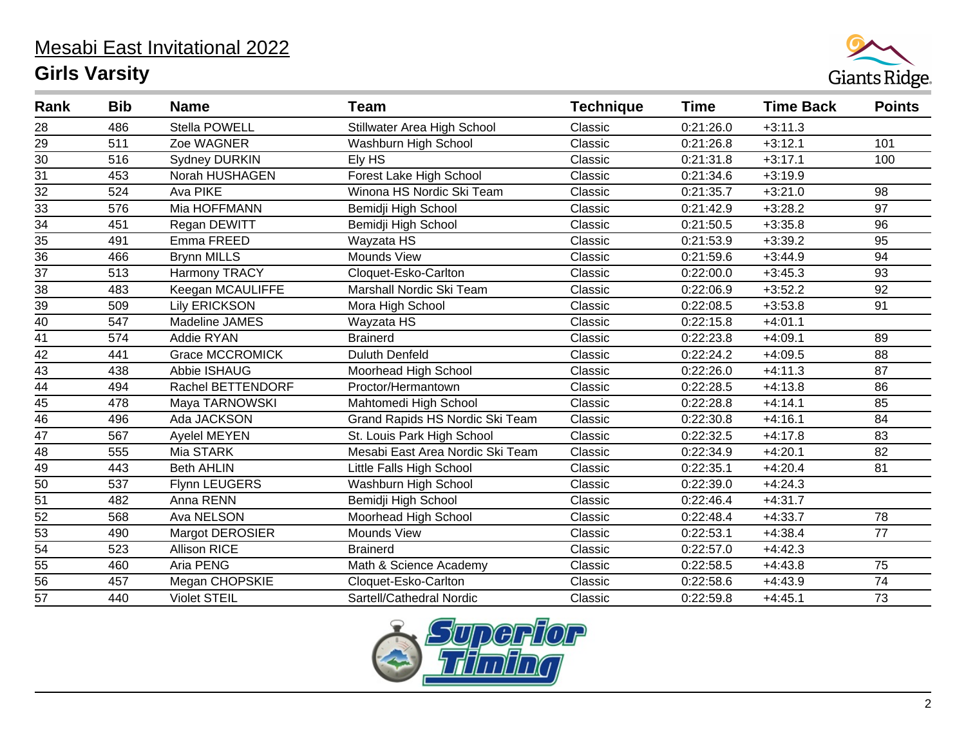

| Rank            | <b>Bib</b> | <b>Name</b>            | <b>Team</b>                      | <b>Technique</b> | <b>Time</b> | <b>Time Back</b> | <b>Points</b> |
|-----------------|------------|------------------------|----------------------------------|------------------|-------------|------------------|---------------|
| 28              | 486        | Stella POWELL          | Stillwater Area High School      | Classic          | 0:21:26.0   | $+3:11.3$        |               |
| $\overline{29}$ | 511        | Zoe WAGNER             | Washburn High School             | Classic          | 0:21:26.8   | $+3:12.1$        | 101           |
| 30              | 516        | <b>Sydney DURKIN</b>   | Ely HS                           | Classic          | 0:21:31.8   | $+3:17.1$        | 100           |
| $\overline{31}$ | 453        | Norah HUSHAGEN         | Forest Lake High School          | Classic          | 0:21:34.6   | $+3:19.9$        |               |
| 32              | 524        | Ava PIKE               | Winona HS Nordic Ski Team        | Classic          | 0:21:35.7   | $+3:21.0$        | 98            |
| $\overline{33}$ | 576        | Mia HOFFMANN           | Bemidji High School              | Classic          | 0:21:42.9   | $+3:28.2$        | 97            |
| $\overline{34}$ | 451        | Regan DEWITT           | Bemidji High School              | Classic          | 0:21:50.5   | $+3:35.8$        | 96            |
| 35              | 491        | Emma FREED             | Wayzata HS                       | Classic          | 0:21:53.9   | $+3:39.2$        | 95            |
| $\overline{36}$ | 466        | <b>Brynn MILLS</b>     | Mounds View                      | Classic          | 0:21:59.6   | $+3:44.9$        | 94            |
| $\overline{37}$ | 513        | Harmony TRACY          | Cloquet-Esko-Carlton             | Classic          | 0:22:00.0   | $+3:45.3$        | 93            |
| 38              | 483        | Keegan MCAULIFFE       | Marshall Nordic Ski Team         | Classic          | 0:22:06.9   | $+3:52.2$        | 92            |
| 39              | 509        | <b>Lily ERICKSON</b>   | Mora High School                 | Classic          | 0:22:08.5   | $+3:53.8$        | 91            |
| 40              | 547        | Madeline JAMES         | Wayzata HS                       | Classic          | 0:22:15.8   | $+4:01.1$        |               |
| 41              | 574        | Addie RYAN             | <b>Brainerd</b>                  | Classic          | 0:22:23.8   | $+4:09.1$        | 89            |
| 42              | 441        | <b>Grace MCCROMICK</b> | <b>Duluth Denfeld</b>            | Classic          | 0:22:24.2   | $+4:09.5$        | 88            |
| 43              | 438        | Abbie ISHAUG           | Moorhead High School             | Classic          | 0:22:26.0   | $+4:11.3$        | 87            |
| $\overline{44}$ | 494        | Rachel BETTENDORF      | Proctor/Hermantown               | Classic          | 0:22:28.5   | $+4:13.8$        | 86            |
| 45              | 478        | Maya TARNOWSKI         | Mahtomedi High School            | Classic          | 0:22:28.8   | $+4:14.1$        | 85            |
| $\frac{1}{46}$  | 496        | Ada JACKSON            | Grand Rapids HS Nordic Ski Team  | Classic          | 0:22:30.8   | $+4:16.1$        | 84            |
| $\overline{47}$ | 567        | Ayelel MEYEN           | St. Louis Park High School       | Classic          | 0:22:32.5   | $+4:17.8$        | 83            |
| $\overline{48}$ | 555        | Mia STARK              | Mesabi East Area Nordic Ski Team | Classic          | 0:22:34.9   | $+4:20.1$        | 82            |
| 49              | 443        | <b>Beth AHLIN</b>      | Little Falls High School         | Classic          | 0:22:35.1   | $+4:20.4$        | 81            |
| $\overline{50}$ | 537        | Flynn LEUGERS          | Washburn High School             | Classic          | 0:22:39.0   | $+4:24.3$        |               |
| 51              | 482        | Anna RENN              | Bemidji High School              | Classic          | 0:22:46.4   | $+4:31.7$        |               |
| $\overline{52}$ | 568        | Ava NELSON             | Moorhead High School             | Classic          | 0:22:48.4   | $+4:33.7$        | 78            |
| $\frac{53}{54}$ | 490        | <b>Margot DEROSIER</b> | Mounds View                      | Classic          | 0:22:53.1   | $+4:38.4$        | 77            |
|                 | 523        | <b>Allison RICE</b>    | <b>Brainerd</b>                  | Classic          | 0:22:57.0   | $+4:42.3$        |               |
| 55              | 460        | Aria PENG              | Math & Science Academy           | Classic          | 0:22:58.5   | $+4:43.8$        | 75            |
| $\overline{56}$ | 457        | Megan CHOPSKIE         | Cloquet-Esko-Carlton             | Classic          | 0:22:58.6   | $+4:43.9$        | 74            |
| $\overline{57}$ | 440        | <b>Violet STEIL</b>    | Sartell/Cathedral Nordic         | Classic          | 0:22:59.8   | $+4:45.1$        | 73            |

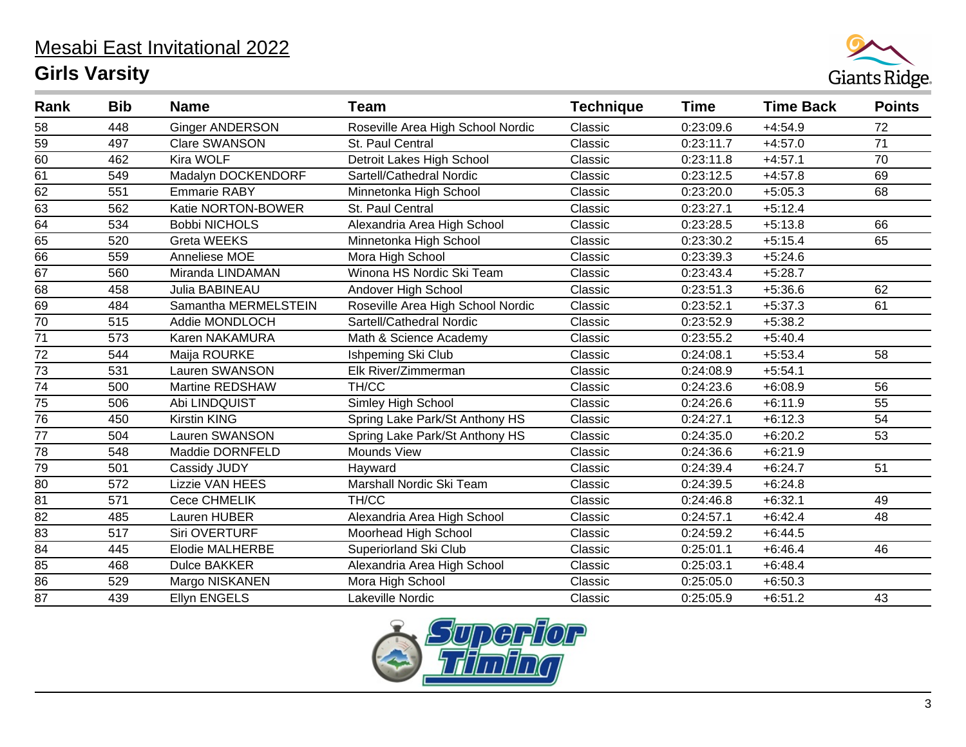

| Rank            | <b>Bib</b> | <b>Name</b>            | <b>Team</b>                       | <b>Technique</b> | Time      | <b>Time Back</b> | <b>Points</b> |
|-----------------|------------|------------------------|-----------------------------------|------------------|-----------|------------------|---------------|
| 58              | 448        | <b>Ginger ANDERSON</b> | Roseville Area High School Nordic | Classic          | 0:23:09.6 | $+4:54.9$        | 72            |
| 59              | 497        | Clare SWANSON          | St. Paul Central                  | Classic          | 0:23:11.7 | $+4:57.0$        | 71            |
| 60              | 462        | Kira WOLF              | Detroit Lakes High School         | Classic          | 0:23:11.8 | $+4:57.1$        | 70            |
| 61              | 549        | Madalyn DOCKENDORF     | Sartell/Cathedral Nordic          | Classic          | 0:23:12.5 | $+4:57.8$        | 69            |
| 62              | 551        | <b>Emmarie RABY</b>    | Minnetonka High School            | Classic          | 0:23:20.0 | $+5:05.3$        | 68            |
| 63              | 562        | Katie NORTON-BOWER     | St. Paul Central                  | Classic          | 0:23:27.1 | $+5:12.4$        |               |
| 64              | 534        | <b>Bobbi NICHOLS</b>   | Alexandria Area High School       | Classic          | 0:23:28.5 | $+5:13.8$        | 66            |
| 65              | 520        | <b>Greta WEEKS</b>     | Minnetonka High School            | Classic          | 0:23:30.2 | $+5:15.4$        | 65            |
| 66              | 559        | Anneliese MOE          | Mora High School                  | Classic          | 0:23:39.3 | $+5:24.6$        |               |
| 67              | 560        | Miranda LINDAMAN       | Winona HS Nordic Ski Team         | Classic          | 0:23:43.4 | $+5:28.7$        |               |
| 68              | 458        | Julia BABINEAU         | Andover High School               | Classic          | 0:23:51.3 | $+5:36.6$        | 62            |
| 69              | 484        | Samantha MERMELSTEIN   | Roseville Area High School Nordic | Classic          | 0:23:52.1 | $+5:37.3$        | 61            |
| 70              | 515        | Addie MONDLOCH         | Sartell/Cathedral Nordic          | Classic          | 0:23:52.9 | $+5:38.2$        |               |
| $\overline{71}$ | 573        | Karen NAKAMURA         | Math & Science Academy            | Classic          | 0:23:55.2 | $+5:40.4$        |               |
| $\overline{72}$ | 544        | Maija ROURKE           | Ishpeming Ski Club                | Classic          | 0:24:08.1 | $+5:53.4$        | 58            |
| $\overline{73}$ | 531        | Lauren SWANSON         | Elk River/Zimmerman               | Classic          | 0:24:08.9 | $+5:54.1$        |               |
| $\overline{74}$ | 500        | Martine REDSHAW        | TH/CC                             | Classic          | 0:24:23.6 | $+6:08.9$        | 56            |
| $\overline{75}$ | 506        | Abi LINDQUIST          | Simley High School                | Classic          | 0:24:26.6 | $+6:11.9$        | 55            |
| 76              | 450        | <b>Kirstin KING</b>    | Spring Lake Park/St Anthony HS    | Classic          | 0:24:27.1 | $+6:12.3$        | 54            |
| $\overline{77}$ | 504        | Lauren SWANSON         | Spring Lake Park/St Anthony HS    | Classic          | 0:24:35.0 | $+6:20.2$        | 53            |
| $\overline{78}$ | 548        | Maddie DORNFELD        | <b>Mounds View</b>                | Classic          | 0:24:36.6 | $+6:21.9$        |               |
| $\overline{79}$ | 501        | Cassidy JUDY           | Hayward                           | Classic          | 0:24:39.4 | $+6:24.7$        | 51            |
| 80              | 572        | <b>Lizzie VAN HEES</b> | Marshall Nordic Ski Team          | Classic          | 0:24:39.5 | $+6:24.8$        |               |
| 81              | 571        | Cece CHMELIK           | TH/CC                             | Classic          | 0:24:46.8 | $+6:32.1$        | 49            |
| $\overline{82}$ | 485        | Lauren HUBER           | Alexandria Area High School       | Classic          | 0:24:57.1 | $+6:42.4$        | 48            |
| $\overline{83}$ | 517        | Siri OVERTURF          | Moorhead High School              | Classic          | 0:24:59.2 | $+6:44.5$        |               |
| 84              | 445        | <b>Elodie MALHERBE</b> | Superiorland Ski Club             | Classic          | 0:25:01.1 | $+6:46.4$        | 46            |
| 85              | 468        | <b>Dulce BAKKER</b>    | Alexandria Area High School       | Classic          | 0:25:03.1 | $+6:48.4$        |               |
| $\overline{86}$ | 529        | Margo NISKANEN         | Mora High School                  | Classic          | 0:25:05.0 | $+6:50.3$        |               |
| $\overline{87}$ | 439        | <b>Ellyn ENGELS</b>    | Lakeville Nordic                  | Classic          | 0:25:05.9 | $+6:51.2$        | 43            |

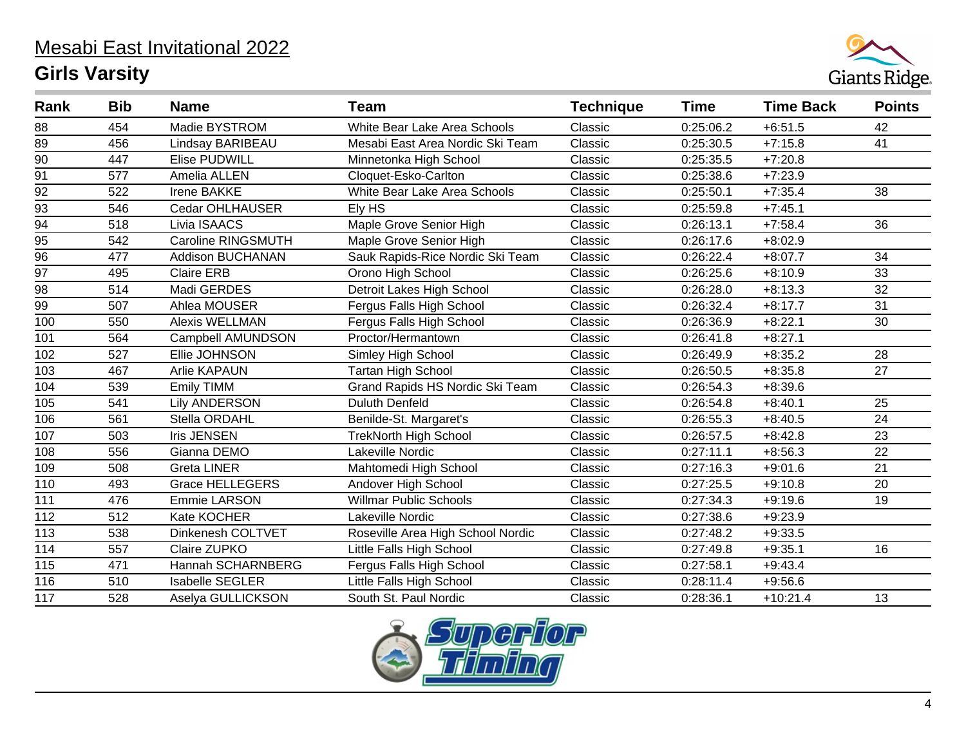

| Rank             | <b>Bib</b> | <b>Name</b>             | <b>Team</b>                       | <b>Technique</b> | Time      | <b>Time Back</b> | <b>Points</b> |
|------------------|------------|-------------------------|-----------------------------------|------------------|-----------|------------------|---------------|
| 88               | 454        | Madie BYSTROM           | White Bear Lake Area Schools      | Classic          | 0:25:06.2 | $+6:51.5$        | 42            |
| 89               | 456        | Lindsay BARIBEAU        | Mesabi East Area Nordic Ski Team  | Classic          | 0:25:30.5 | $+7:15.8$        | 41            |
| 90               | 447        | Elise PUDWILL           | Minnetonka High School            | Classic          | 0:25:35.5 | $+7:20.8$        |               |
| 91               | 577        | Amelia ALLEN            | Cloquet-Esko-Carlton              | Classic          | 0:25:38.6 | $+7:23.9$        |               |
| $\overline{92}$  | 522        | Irene BAKKE             | White Bear Lake Area Schools      | Classic          | 0:25:50.1 | $+7:35.4$        | 38            |
| $\overline{93}$  | 546        | Cedar OHLHAUSER         | Ely HS                            | Classic          | 0:25:59.8 | $+7:45.1$        |               |
| $\overline{94}$  | 518        | Livia ISAACS            | Maple Grove Senior High           | Classic          | 0:26:13.1 | $+7:58.4$        | 36            |
| 95               | 542        | Caroline RINGSMUTH      | Maple Grove Senior High           | Classic          | 0:26:17.6 | $+8:02.9$        |               |
| $\overline{96}$  | 477        | <b>Addison BUCHANAN</b> | Sauk Rapids-Rice Nordic Ski Team  | Classic          | 0:26:22.4 | $+8:07.7$        | 34            |
| $\overline{97}$  | 495        | <b>Claire ERB</b>       | Orono High School                 | Classic          | 0:26:25.6 | $+8:10.9$        | 33            |
| 98               | 514        | Madi GERDES             | Detroit Lakes High School         | Classic          | 0:26:28.0 | $+8:13.3$        | 32            |
| 99               | 507        | Ahlea MOUSER            | Fergus Falls High School          | Classic          | 0:26:32.4 | $+8:17.7$        | 31            |
| 100              | 550        | <b>Alexis WELLMAN</b>   | Fergus Falls High School          | Classic          | 0:26:36.9 | $+8:22.1$        | 30            |
| 101              | 564        | Campbell AMUNDSON       | Proctor/Hermantown                | Classic          | 0:26:41.8 | $+8:27.1$        |               |
| 102              | 527        | Ellie JOHNSON           | Simley High School                | Classic          | 0:26:49.9 | $+8:35.2$        | 28            |
| 103              | 467        | <b>Arlie KAPAUN</b>     | <b>Tartan High School</b>         | Classic          | 0:26:50.5 | $+8:35.8$        | 27            |
| 104              | 539        | <b>Emily TIMM</b>       | Grand Rapids HS Nordic Ski Team   | Classic          | 0:26:54.3 | $+8:39.6$        |               |
| 105              | 541        | <b>Lily ANDERSON</b>    | <b>Duluth Denfeld</b>             | Classic          | 0:26:54.8 | $+8:40.1$        | 25            |
| 106              | 561        | Stella ORDAHL           | Benilde-St. Margaret's            | Classic          | 0:26:55.3 | $+8:40.5$        | 24            |
| 107              | 503        | <b>Iris JENSEN</b>      | <b>TrekNorth High School</b>      | Classic          | 0:26:57.5 | $+8:42.8$        | 23            |
| 108              | 556        | Gianna DEMO             | Lakeville Nordic                  | Classic          | 0:27:11.1 | $+8:56.3$        | 22            |
| 109              | 508        | <b>Greta LINER</b>      | Mahtomedi High School             | Classic          | 0:27:16.3 | $+9:01.6$        | 21            |
| 110              | 493        | <b>Grace HELLEGERS</b>  | Andover High School               | Classic          | 0:27:25.5 | $+9:10.8$        | 20            |
| 111              | 476        | <b>Emmie LARSON</b>     | <b>Willmar Public Schools</b>     | Classic          | 0:27:34.3 | $+9:19.6$        | 19            |
| 112              | 512        | Kate KOCHER             | Lakeville Nordic                  | Classic          | 0:27:38.6 | $+9:23.9$        |               |
| $113$            | 538        | Dinkenesh COLTVET       | Roseville Area High School Nordic | Classic          | 0:27:48.2 | $+9:33.5$        |               |
| 114              | 557        | Claire ZUPKO            | Little Falls High School          | Classic          | 0:27:49.8 | $+9:35.1$        | 16            |
| 115              | 471        | Hannah SCHARNBERG       | Fergus Falls High School          | Classic          | 0:27:58.1 | $+9:43.4$        |               |
| 116              | 510        | <b>Isabelle SEGLER</b>  | Little Falls High School          | Classic          | 0:28:11.4 | $+9:56.6$        |               |
| $\overline{117}$ | 528        | Aselya GULLICKSON       | South St. Paul Nordic             | Classic          | 0:28:36.1 | $+10:21.4$       | 13            |